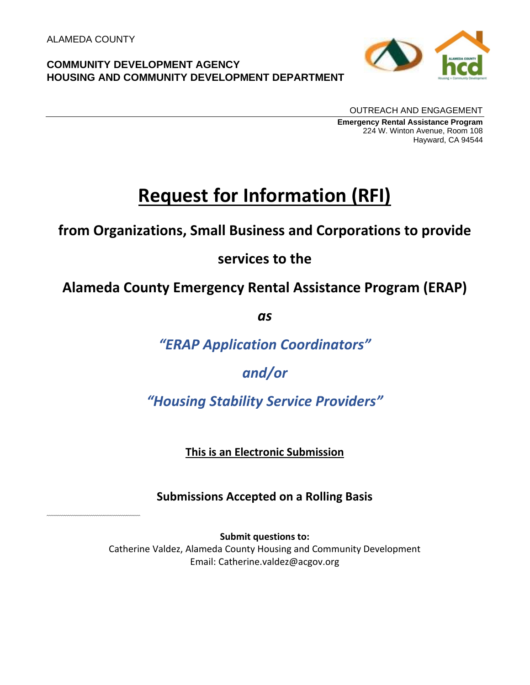ALAMEDA COUNTY

**COMMUNITY DEVELOPMENT AGENCY HOUSING AND COMMUNITY DEVELOPMENT DEPARTMENT**



OUTREACH AND ENGAGEMENT

**Emergency Rental Assistance Program** 224 W. Winton Avenue, Room 108 Hayward, CA 94544

# **Request for Information (RFI)**

## **from Organizations, Small Business and Corporations to provide**

## **services to the**

## **Alameda County Emergency Rental Assistance Program (ERAP)**

*as* 

*"ERAP Application Coordinators"*

## *and/or*

*"Housing Stability Service Providers"*

**This is an Electronic Submission**

**Submissions Accepted on a Rolling Basis**

**Submit questions to:** Catherine Valdez, Alameda County Housing and Community Development Email: Catherine.valdez@acgov.org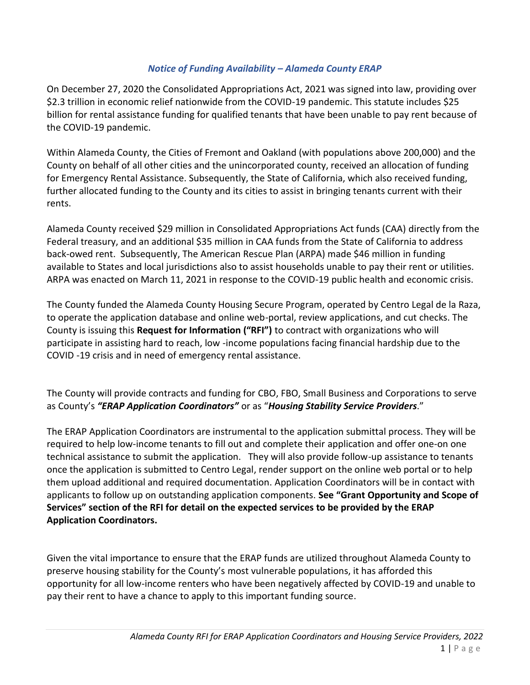#### *Notice of Funding Availability – Alameda County ERAP*

On December 27, 2020 the Consolidated Appropriations Act, 2021 was signed into law, providing over \$2.3 trillion in economic relief nationwide from the COVID-19 pandemic. This statute includes \$25 billion for rental assistance funding for qualified tenants that have been unable to pay rent because of the COVID-19 pandemic.

Within Alameda County, the Cities of Fremont and Oakland (with populations above 200,000) and the County on behalf of all other cities and the unincorporated county, received an allocation of funding for Emergency Rental Assistance. Subsequently, the State of California, which also received funding, further allocated funding to the County and its cities to assist in bringing tenants current with their rents.

Alameda County received \$29 million in Consolidated Appropriations Act funds (CAA) directly from the Federal treasury, and an additional \$35 million in CAA funds from the State of California to address back-owed rent. Subsequently, The American Rescue Plan (ARPA) made \$46 million in funding available to States and local jurisdictions also to assist households unable to pay their rent or utilities. ARPA was enacted on March 11, 2021 in response to the COVID-19 public health and economic crisis.

The County funded the Alameda County Housing Secure Program, operated by Centro Legal de la Raza, to operate the application database and online web-portal, review applications, and cut checks. The County is issuing this **Request for Information ("RFI")** to contract with organizations who will participate in assisting hard to reach, low -income populations facing financial hardship due to the COVID -19 crisis and in need of emergency rental assistance.

The County will provide contracts and funding for CBO, FBO, Small Business and Corporations to serve as County's *"ERAP Application Coordinators"* or as "*Housing Stability Service Providers*."

The ERAP Application Coordinators are instrumental to the application submittal process. They will be required to help low-income tenants to fill out and complete their application and offer one-on one technical assistance to submit the application. They will also provide follow-up assistance to tenants once the application is submitted to Centro Legal, render support on the online web portal or to help them upload additional and required documentation. Application Coordinators will be in contact with applicants to follow up on outstanding application components. **See "Grant Opportunity and Scope of Services" section of the RFI for detail on the expected services to be provided by the ERAP Application Coordinators.**

Given the vital importance to ensure that the ERAP funds are utilized throughout Alameda County to preserve housing stability for the County's most vulnerable populations, it has afforded this opportunity for all low-income renters who have been negatively affected by COVID-19 and unable to pay their rent to have a chance to apply to this important funding source.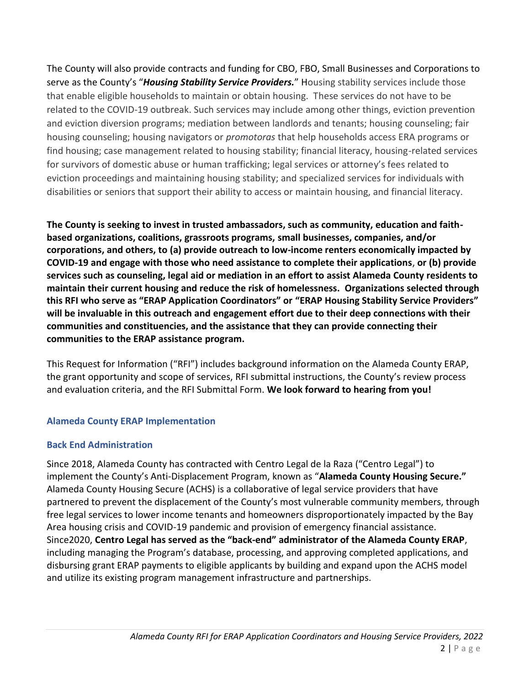The County will also provide contracts and funding for CBO, FBO, Small Businesses and Corporations to serve as the County's "*Housing Stability Service Providers.*" Housing stability services include those that enable eligible households to maintain or obtain housing. These services do not have to be related to the COVID-19 outbreak. Such services may include among other things, eviction prevention and eviction diversion programs; mediation between landlords and tenants; housing counseling; fair housing counseling; housing navigators or *promotoras* that help households access ERA programs or find housing; case management related to housing stability; financial literacy, housing-related services for survivors of domestic abuse or human trafficking; legal services or attorney's fees related to eviction proceedings and maintaining housing stability; and specialized services for individuals with disabilities or seniors that support their ability to access or maintain housing, and financial literacy.

**The County is seeking to invest in trusted ambassadors, such as community, education and faithbased organizations, coalitions, grassroots programs, small businesses, companies, and/or corporations, and others, to (a) provide outreach to low-income renters economically impacted by COVID-19 and engage with those who need assistance to complete their applications**, **or (b) provide services such as counseling, legal aid or mediation in an effort to assist Alameda County residents to maintain their current housing and reduce the risk of homelessness. Organizations selected through this RFI who serve as "ERAP Application Coordinators" or "ERAP Housing Stability Service Providers" will be invaluable in this outreach and engagement effort due to their deep connections with their communities and constituencies, and the assistance that they can provide connecting their communities to the ERAP assistance program.** 

This Request for Information ("RFI") includes background information on the Alameda County ERAP, the grant opportunity and scope of services, RFI submittal instructions, the County's review process and evaluation criteria, and the RFI Submittal Form. **We look forward to hearing from you!**

#### **Alameda County ERAP Implementation**

#### **Back End Administration**

Since 2018, Alameda County has contracted with Centro Legal de la Raza ("Centro Legal") to implement the County's Anti-Displacement Program, known as "**Alameda County Housing Secure."**  Alameda County Housing Secure (ACHS) is a collaborative of legal service providers that have partnered to prevent the displacement of the County's most vulnerable community members, through free legal services to lower income tenants and homeowners disproportionately impacted by the Bay Area housing crisis and COVID-19 pandemic and provision of emergency financial assistance. Since2020, **Centro Legal has served as the "back-end" administrator of the Alameda County ERAP**, including managing the Program's database, processing, and approving completed applications, and disbursing grant ERAP payments to eligible applicants by building and expand upon the ACHS model and utilize its existing program management infrastructure and partnerships.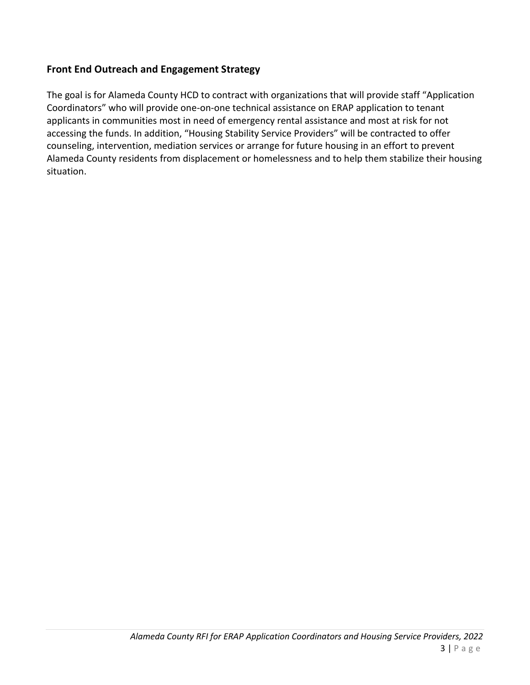### **Front End Outreach and Engagement Strategy**

The goal is for Alameda County HCD to contract with organizations that will provide staff "Application Coordinators" who will provide one-on-one technical assistance on ERAP application to tenant applicants in communities most in need of emergency rental assistance and most at risk for not accessing the funds. In addition, "Housing Stability Service Providers" will be contracted to offer counseling, intervention, mediation services or arrange for future housing in an effort to prevent Alameda County residents from displacement or homelessness and to help them stabilize their housing situation.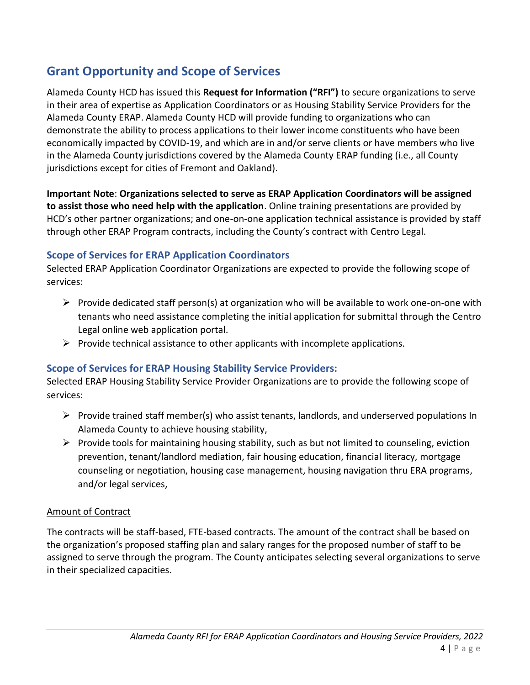## **Grant Opportunity and Scope of Services**

Alameda County HCD has issued this **Request for Information ("RFI")** to secure organizations to serve in their area of expertise as Application Coordinators or as Housing Stability Service Providers for the Alameda County ERAP. Alameda County HCD will provide funding to organizations who can demonstrate the ability to process applications to their lower income constituents who have been economically impacted by COVID-19, and which are in and/or serve clients or have members who live in the Alameda County jurisdictions covered by the Alameda County ERAP funding (i.e., all County jurisdictions except for cities of Fremont and Oakland).

**Important Note**: **Organizations selected to serve as ERAP Application Coordinators will be assigned to assist those who need help with the application**. Online training presentations are provided by HCD's other partner organizations; and one-on-one application technical assistance is provided by staff through other ERAP Program contracts, including the County's contract with Centro Legal.

### **Scope of Services for ERAP Application Coordinators**

Selected ERAP Application Coordinator Organizations are expected to provide the following scope of services:

- $\triangleright$  Provide dedicated staff person(s) at organization who will be available to work one-on-one with tenants who need assistance completing the initial application for submittal through the Centro Legal online web application portal.
- $\triangleright$  Provide technical assistance to other applicants with incomplete applications.

#### **Scope of Services for ERAP Housing Stability Service Providers:**

Selected ERAP Housing Stability Service Provider Organizations are to provide the following scope of services:

- $\triangleright$  Provide trained staff member(s) who assist tenants, landlords, and underserved populations In Alameda County to achieve housing stability,
- $\triangleright$  Provide tools for maintaining housing stability, such as but not limited to counseling, eviction prevention, tenant/landlord mediation, fair housing education, financial literacy, mortgage counseling or negotiation, housing case management, housing navigation thru ERA programs, and/or legal services,

#### Amount of Contract

The contracts will be staff-based, FTE-based contracts. The amount of the contract shall be based on the organization's proposed staffing plan and salary ranges for the proposed number of staff to be assigned to serve through the program. The County anticipates selecting several organizations to serve in their specialized capacities.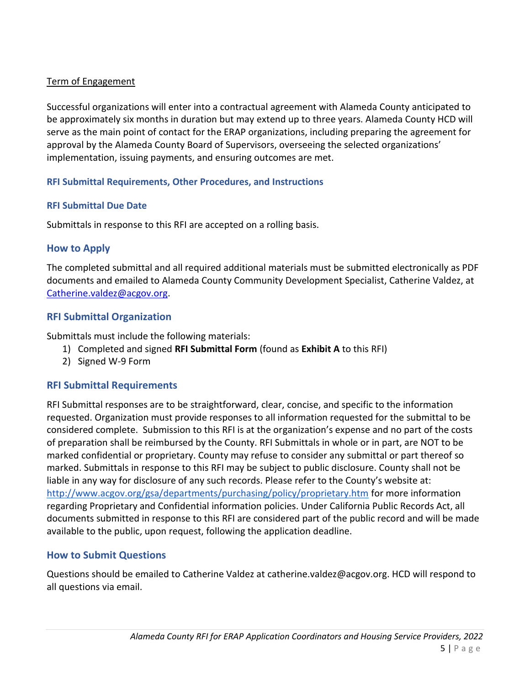#### Term of Engagement

Successful organizations will enter into a contractual agreement with Alameda County anticipated to be approximately six months in duration but may extend up to three years. Alameda County HCD will serve as the main point of contact for the ERAP organizations, including preparing the agreement for approval by the Alameda County Board of Supervisors, overseeing the selected organizations' implementation, issuing payments, and ensuring outcomes are met.

#### **RFI Submittal Requirements, Other Procedures, and Instructions**

#### **RFI Submittal Due Date**

Submittals in response to this RFI are accepted on a rolling basis.

## **How to Apply**

The completed submittal and all required additional materials must be submitted electronically as PDF documents and emailed to Alameda County Community Development Specialist, Catherine Valdez, at [Catherine.valdez@acgov.org.](mailto:Catherine.valdez@acgov.org)

## **RFI Submittal Organization**

Submittals must include the following materials:

- 1) Completed and signed **RFI Submittal Form** (found as **Exhibit A** to this RFI)
- 2) Signed W-9 Form

## **RFI Submittal Requirements**

RFI Submittal responses are to be straightforward, clear, concise, and specific to the information requested. Organization must provide responses to all information requested for the submittal to be considered complete. Submission to this RFI is at the organization's expense and no part of the costs of preparation shall be reimbursed by the County. RFI Submittals in whole or in part, are NOT to be marked confidential or proprietary. County may refuse to consider any submittal or part thereof so marked. Submittals in response to this RFI may be subject to public disclosure. County shall not be liable in any way for disclosure of any such records. Please refer to the County's website at[:](http://www.acgov.org/gsa/departments/purchasing/policy/proprietary.htm) <http://www.acgov.org/gsa/departments/purchasing/policy/proprietary.htm> for more information regarding Proprietary and Confidential information policies. Under California Public Records Act, all documents submitted in response to this RFI are considered part of the public record and will be made available to the public, upon request, following the application deadline.

## **How to Submit Questions**

Questions should be emailed to Catherine Valdez at catherine.valdez@acgov.org. HCD will respond to all questions via email.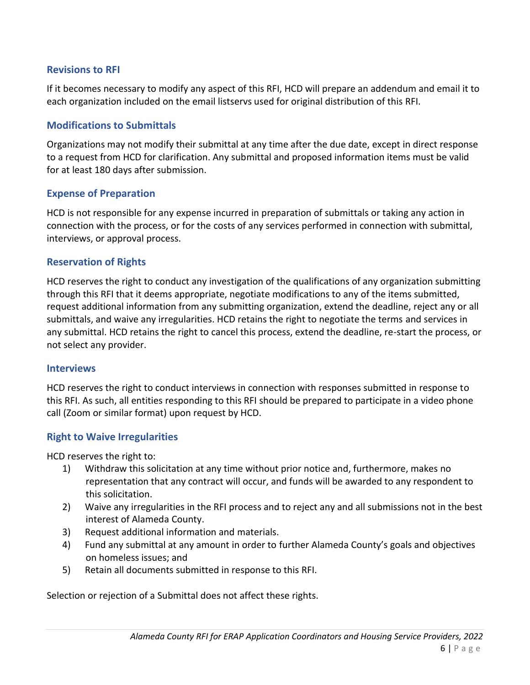#### **Revisions to RFI**

If it becomes necessary to modify any aspect of this RFI, HCD will prepare an addendum and email it to each organization included on the email listservs used for original distribution of this RFI.

#### **Modifications to Submittals**

Organizations may not modify their submittal at any time after the due date, except in direct response to a request from HCD for clarification. Any submittal and proposed information items must be valid for at least 180 days after submission.

#### **Expense of Preparation**

HCD is not responsible for any expense incurred in preparation of submittals or taking any action in connection with the process, or for the costs of any services performed in connection with submittal, interviews, or approval process.

#### **Reservation of Rights**

HCD reserves the right to conduct any investigation of the qualifications of any organization submitting through this RFI that it deems appropriate, negotiate modifications to any of the items submitted, request additional information from any submitting organization, extend the deadline, reject any or all submittals, and waive any irregularities. HCD retains the right to negotiate the terms and services in any submittal. HCD retains the right to cancel this process, extend the deadline, re-start the process, or not select any provider.

#### **Interviews**

HCD reserves the right to conduct interviews in connection with responses submitted in response to this RFI. As such, all entities responding to this RFI should be prepared to participate in a video phone call (Zoom or similar format) upon request by HCD.

#### **Right to Waive Irregularities**

HCD reserves the right to:

- 1) Withdraw this solicitation at any time without prior notice and, furthermore, makes no representation that any contract will occur, and funds will be awarded to any respondent to this solicitation.
- 2) Waive any irregularities in the RFI process and to reject any and all submissions not in the best interest of Alameda County.
- 3) Request additional information and materials.
- 4) Fund any submittal at any amount in order to further Alameda County's goals and objectives on homeless issues; and
- 5) Retain all documents submitted in response to this RFI.

Selection or rejection of a Submittal does not affect these rights.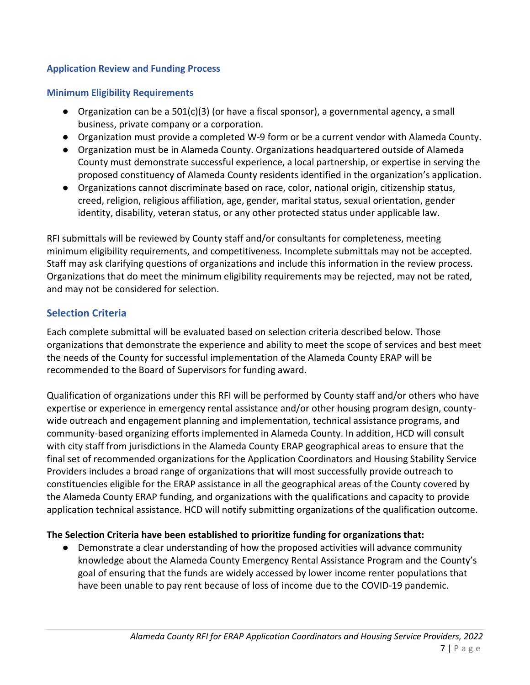#### **Application Review and Funding Process**

#### **Minimum Eligibility Requirements**

- Organization can be a  $501(c)(3)$  (or have a fiscal sponsor), a governmental agency, a small business, private company or a corporation.
- Organization must provide a completed W-9 form or be a current vendor with Alameda County.
- Organization must be in Alameda County. Organizations headquartered outside of Alameda County must demonstrate successful experience, a local partnership, or expertise in serving the proposed constituency of Alameda County residents identified in the organization's application.
- Organizations cannot discriminate based on race, color, national origin, citizenship status, creed, religion, religious affiliation, age, gender, marital status, sexual orientation, gender identity, disability, veteran status, or any other protected status under applicable law.

RFI submittals will be reviewed by County staff and/or consultants for completeness, meeting minimum eligibility requirements, and competitiveness. Incomplete submittals may not be accepted. Staff may ask clarifying questions of organizations and include this information in the review process. Organizations that do meet the minimum eligibility requirements may be rejected, may not be rated, and may not be considered for selection.

#### **Selection Criteria**

Each complete submittal will be evaluated based on selection criteria described below. Those organizations that demonstrate the experience and ability to meet the scope of services and best meet the needs of the County for successful implementation of the Alameda County ERAP will be recommended to the Board of Supervisors for funding award.

Qualification of organizations under this RFI will be performed by County staff and/or others who have expertise or experience in emergency rental assistance and/or other housing program design, countywide outreach and engagement planning and implementation, technical assistance programs, and community-based organizing efforts implemented in Alameda County. In addition, HCD will consult with city staff from jurisdictions in the Alameda County ERAP geographical areas to ensure that the final set of recommended organizations for the Application Coordinators and Housing Stability Service Providers includes a broad range of organizations that will most successfully provide outreach to constituencies eligible for the ERAP assistance in all the geographical areas of the County covered by the Alameda County ERAP funding, and organizations with the qualifications and capacity to provide application technical assistance. HCD will notify submitting organizations of the qualification outcome.

#### **The Selection Criteria have been established to prioritize funding for organizations that:**

● Demonstrate a clear understanding of how the proposed activities will advance community knowledge about the Alameda County Emergency Rental Assistance Program and the County's goal of ensuring that the funds are widely accessed by lower income renter populations that have been unable to pay rent because of loss of income due to the COVID-19 pandemic.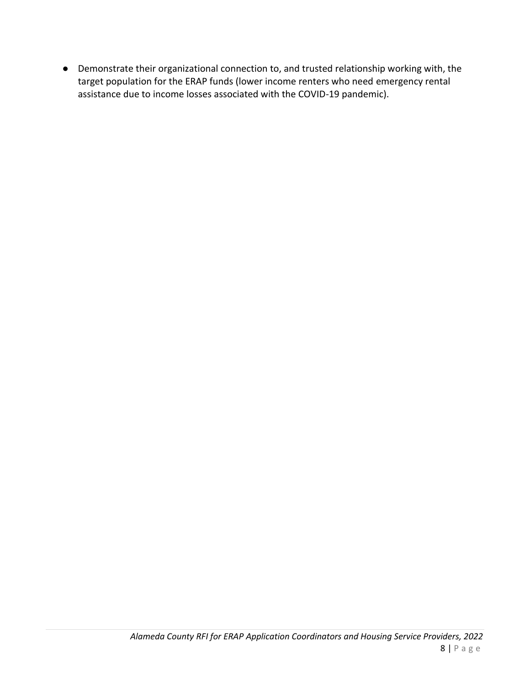● Demonstrate their organizational connection to, and trusted relationship working with, the target population for the ERAP funds (lower income renters who need emergency rental assistance due to income losses associated with the COVID-19 pandemic).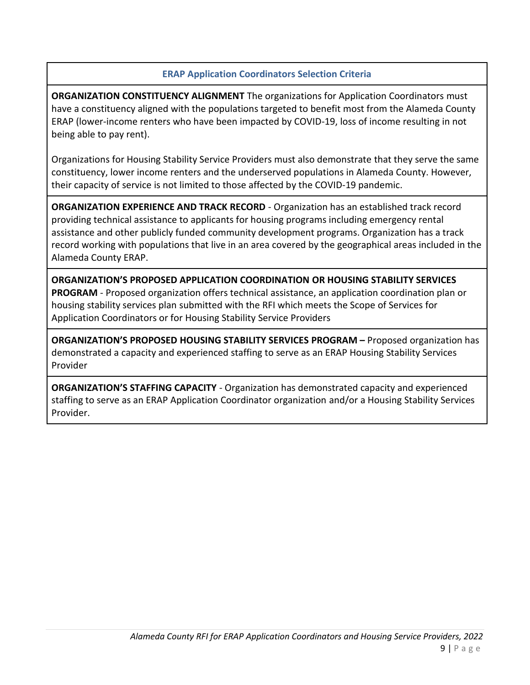#### **ERAP Application Coordinators Selection Criteria**

**ORGANIZATION CONSTITUENCY ALIGNMENT** The organizations for Application Coordinators must have a constituency aligned with the populations targeted to benefit most from the Alameda County ERAP (lower-income renters who have been impacted by COVID-19, loss of income resulting in not being able to pay rent).

Organizations for Housing Stability Service Providers must also demonstrate that they serve the same constituency, lower income renters and the underserved populations in Alameda County. However, their capacity of service is not limited to those affected by the COVID-19 pandemic.

**ORGANIZATION EXPERIENCE AND TRACK RECORD** - Organization has an established track record providing technical assistance to applicants for housing programs including emergency rental assistance and other publicly funded community development programs. Organization has a track record working with populations that live in an area covered by the geographical areas included in the Alameda County ERAP.

**ORGANIZATION'S PROPOSED APPLICATION COORDINATION OR HOUSING STABILITY SERVICES PROGRAM** - Proposed organization offers technical assistance, an application coordination plan or housing stability services plan submitted with the RFI which meets the Scope of Services for Application Coordinators or for Housing Stability Service Providers

**ORGANIZATION'S PROPOSED HOUSING STABILITY SERVICES PROGRAM –** Proposed organization has demonstrated a capacity and experienced staffing to serve as an ERAP Housing Stability Services Provider

**ORGANIZATION'S STAFFING CAPACITY** - Organization has demonstrated capacity and experienced staffing to serve as an ERAP Application Coordinator organization and/or a Housing Stability Services Provider.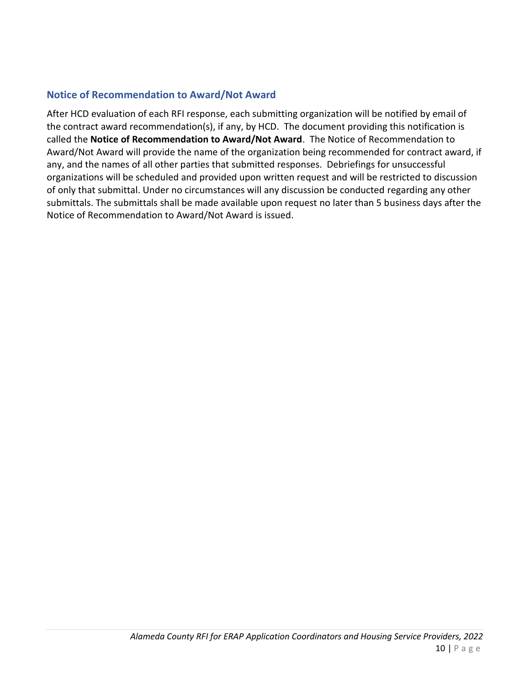### **Notice of Recommendation to Award/Not Award**

After HCD evaluation of each RFI response, each submitting organization will be notified by email of the contract award recommendation(s), if any, by HCD. The document providing this notification is called the **Notice of Recommendation to Award/Not Award**. The Notice of Recommendation to Award/Not Award will provide the name of the organization being recommended for contract award, if any, and the names of all other parties that submitted responses. Debriefings for unsuccessful organizations will be scheduled and provided upon written request and will be restricted to discussion of only that submittal. Under no circumstances will any discussion be conducted regarding any other submittals. The submittals shall be made available upon request no later than 5 business days after the Notice of Recommendation to Award/Not Award is issued.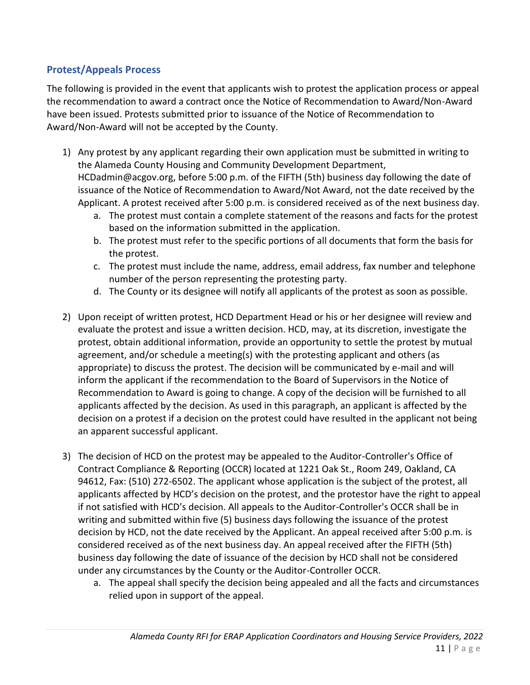### **Protest/Appeals Process**

The following is provided in the event that applicants wish to protest the application process or appeal the recommendation to award a contract once the Notice of Recommendation to Award/Non-Award have been issued. Protests submitted prior to issuance of the Notice of Recommendation to Award/Non-Award will not be accepted by the County.

- 1) Any protest by any applicant regarding their own application must be submitted in writing to the Alameda County Housing and Community Development Department, HCDadmin@acgov.org, before 5:00 p.m. of the FIFTH (5th) business day following the date of issuance of the Notice of Recommendation to Award/Not Award, not the date received by the Applicant. A protest received after 5:00 p.m. is considered received as of the next business day.
	- a. The protest must contain a complete statement of the reasons and facts for the protest based on the information submitted in the application.
	- b. The protest must refer to the specific portions of all documents that form the basis for the protest.
	- c. The protest must include the name, address, email address, fax number and telephone number of the person representing the protesting party.
	- d. The County or its designee will notify all applicants of the protest as soon as possible.
- 2) Upon receipt of written protest, HCD Department Head or his or her designee will review and evaluate the protest and issue a written decision. HCD, may, at its discretion, investigate the protest, obtain additional information, provide an opportunity to settle the protest by mutual agreement, and/or schedule a meeting(s) with the protesting applicant and others (as appropriate) to discuss the protest. The decision will be communicated by e-mail and will inform the applicant if the recommendation to the Board of Supervisors in the Notice of Recommendation to Award is going to change. A copy of the decision will be furnished to all applicants affected by the decision. As used in this paragraph, an applicant is affected by the decision on a protest if a decision on the protest could have resulted in the applicant not being an apparent successful applicant.
- 3) The decision of HCD on the protest may be appealed to the Auditor-Controller's Office of Contract Compliance & Reporting (OCCR) located at 1221 Oak St., Room 249, Oakland, CA 94612, Fax: (510) 272-6502. The applicant whose application is the subject of the protest, all applicants affected by HCD's decision on the protest, and the protestor have the right to appeal if not satisfied with HCD's decision. All appeals to the Auditor-Controller's OCCR shall be in writing and submitted within five (5) business days following the issuance of the protest decision by HCD, not the date received by the Applicant. An appeal received after 5:00 p.m. is considered received as of the next business day. An appeal received after the FIFTH (5th) business day following the date of issuance of the decision by HCD shall not be considered under any circumstances by the County or the Auditor-Controller OCCR.
	- a. The appeal shall specify the decision being appealed and all the facts and circumstances relied upon in support of the appeal.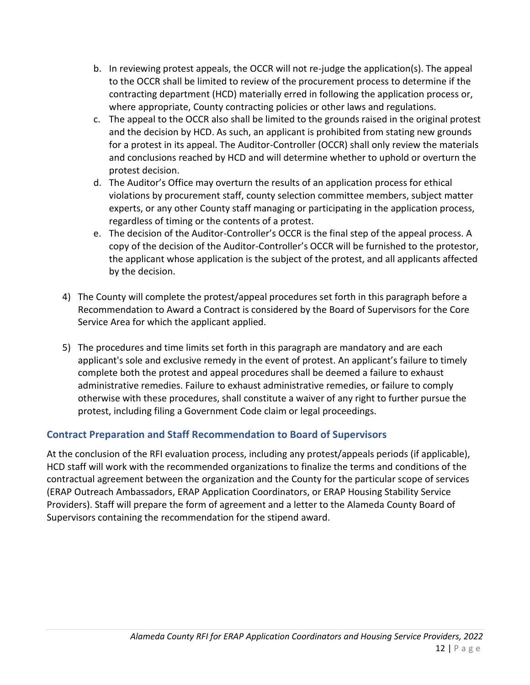- b. In reviewing protest appeals, the OCCR will not re-judge the application(s). The appeal to the OCCR shall be limited to review of the procurement process to determine if the contracting department (HCD) materially erred in following the application process or, where appropriate, County contracting policies or other laws and regulations.
- c. The appeal to the OCCR also shall be limited to the grounds raised in the original protest and the decision by HCD. As such, an applicant is prohibited from stating new grounds for a protest in its appeal. The Auditor-Controller (OCCR) shall only review the materials and conclusions reached by HCD and will determine whether to uphold or overturn the protest decision.
- d. The Auditor's Office may overturn the results of an application process for ethical violations by procurement staff, county selection committee members, subject matter experts, or any other County staff managing or participating in the application process, regardless of timing or the contents of a protest.
- e. The decision of the Auditor-Controller's OCCR is the final step of the appeal process. A copy of the decision of the Auditor-Controller's OCCR will be furnished to the protestor, the applicant whose application is the subject of the protest, and all applicants affected by the decision.
- 4) The County will complete the protest/appeal procedures set forth in this paragraph before a Recommendation to Award a Contract is considered by the Board of Supervisors for the Core Service Area for which the applicant applied.
- 5) The procedures and time limits set forth in this paragraph are mandatory and are each applicant's sole and exclusive remedy in the event of protest. An applicant's failure to timely complete both the protest and appeal procedures shall be deemed a failure to exhaust administrative remedies. Failure to exhaust administrative remedies, or failure to comply otherwise with these procedures, shall constitute a waiver of any right to further pursue the protest, including filing a Government Code claim or legal proceedings.

## **Contract Preparation and Staff Recommendation to Board of Supervisors**

At the conclusion of the RFI evaluation process, including any protest/appeals periods (if applicable), HCD staff will work with the recommended organizations to finalize the terms and conditions of the contractual agreement between the organization and the County for the particular scope of services (ERAP Outreach Ambassadors, ERAP Application Coordinators, or ERAP Housing Stability Service Providers). Staff will prepare the form of agreement and a letter to the Alameda County Board of Supervisors containing the recommendation for the stipend award.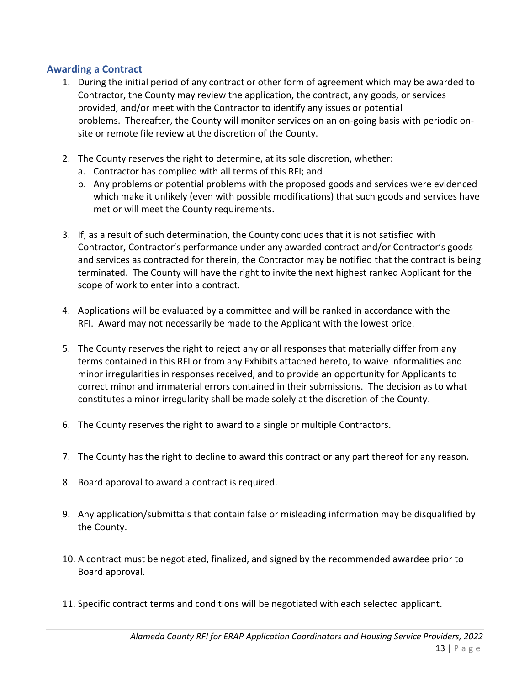#### **Awarding a Contract**

- 1. During the initial period of any contract or other form of agreement which may be awarded to Contractor, the County may review the application, the contract, any goods, or services provided, and/or meet with the Contractor to identify any issues or potential problems. Thereafter, the County will monitor services on an on-going basis with periodic onsite or remote file review at the discretion of the County.
- 2. The County reserves the right to determine, at its sole discretion, whether:
	- a. Contractor has complied with all terms of this RFI; and
	- b. Any problems or potential problems with the proposed goods and services were evidenced which make it unlikely (even with possible modifications) that such goods and services have met or will meet the County requirements.
- 3. If, as a result of such determination, the County concludes that it is not satisfied with Contractor, Contractor's performance under any awarded contract and/or Contractor's goods and services as contracted for therein, the Contractor may be notified that the contract is being terminated. The County will have the right to invite the next highest ranked Applicant for the scope of work to enter into a contract.
- 4. Applications will be evaluated by a committee and will be ranked in accordance with the RFI. Award may not necessarily be made to the Applicant with the lowest price.
- 5. The County reserves the right to reject any or all responses that materially differ from any terms contained in this RFI or from any Exhibits attached hereto, to waive informalities and minor irregularities in responses received, and to provide an opportunity for Applicants to correct minor and immaterial errors contained in their submissions. The decision as to what constitutes a minor irregularity shall be made solely at the discretion of the County.
- 6. The County reserves the right to award to a single or multiple Contractors.
- 7. The County has the right to decline to award this contract or any part thereof for any reason.
- 8. Board approval to award a contract is required.
- 9. Any application/submittals that contain false or misleading information may be disqualified by the County.
- 10. A contract must be negotiated, finalized, and signed by the recommended awardee prior to Board approval.
- 11. Specific contract terms and conditions will be negotiated with each selected applicant.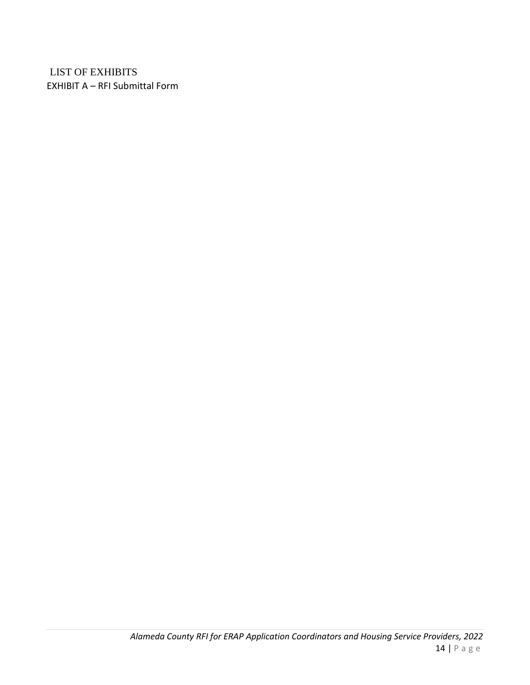LIST OF EXHIBITS EXHIBIT A – RFI Submittal Form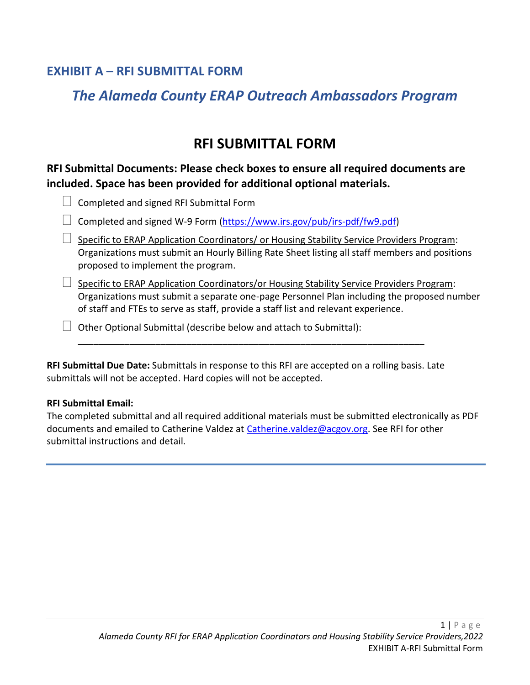## **EXHIBIT A – RFI SUBMITTAL FORM**

## *The Alameda County ERAP Outreach Ambassadors Program*

## **RFI SUBMITTAL FORM**

## **RFI Submittal Documents: Please check boxes to ensure all required documents are included. Space has been provided for additional optional materials.**

|  | $\Box$ Completed and signed RFI Submittal Form |  |
|--|------------------------------------------------|--|
|  |                                                |  |

|  |  | □ Completed and signed W-9 Form (https://www.irs.gov/pub/irs-pdf/fw9.pdf) |
|--|--|---------------------------------------------------------------------------|
|--|--|---------------------------------------------------------------------------|

| $\Box$ Specific to ERAP Application Coordinators/ or Housing Stability Service Providers Program: |
|---------------------------------------------------------------------------------------------------|
| Organizations must submit an Hourly Billing Rate Sheet listing all staff members and positions    |
| proposed to implement the program.                                                                |

| $\Box$ Specific to ERAP Application Coordinators/or Housing Stability Service Providers Program: |
|--------------------------------------------------------------------------------------------------|
| Organizations must submit a separate one-page Personnel Plan including the proposed number       |
| of staff and FTEs to serve as staff, provide a staff list and relevant experience.               |

 $\Box$  Other Optional Submittal (describe below and attach to Submittal):

**RFI Submittal Due Date:** Submittals in response to this RFI are accepted on a rolling basis. Late submittals will not be accepted. Hard copies will not be accepted.

\_\_\_\_\_\_\_\_\_\_\_\_\_\_\_\_\_\_\_\_\_\_\_\_\_\_\_\_\_\_\_\_\_\_\_\_\_\_\_\_\_\_\_\_\_\_\_\_\_\_\_\_\_\_\_\_\_\_\_\_\_\_\_\_\_\_\_

#### **RFI Submittal Email:**

The completed submittal and all required additional materials must be submitted electronically as PDF documents and emailed to Catherine Valdez at [Catherine.valdez@acgov.org.](mailto:Catherine.valdez@acgov.org) See RFI for other submittal instructions and detail.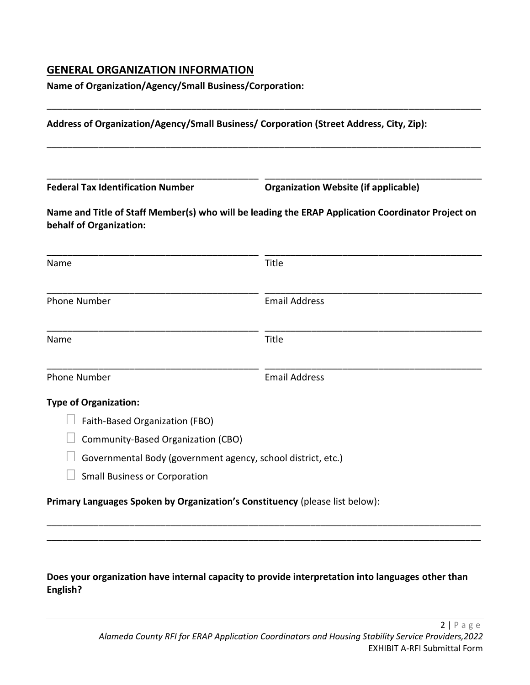### **GENERAL ORGANIZATION INFORMATION**

**Name of Organization/Agency/Small Business/Corporation:**

| <b>Federal Tax Identification Number</b>                     | <b>Organization Website (if applicable)</b>                                                       |  |  |  |
|--------------------------------------------------------------|---------------------------------------------------------------------------------------------------|--|--|--|
| behalf of Organization:                                      | Name and Title of Staff Member(s) who will be leading the ERAP Application Coordinator Project on |  |  |  |
| Name                                                         | Title                                                                                             |  |  |  |
| <b>Phone Number</b>                                          | <b>Email Address</b>                                                                              |  |  |  |
| Name                                                         | Title                                                                                             |  |  |  |
| <b>Phone Number</b>                                          | <b>Email Address</b>                                                                              |  |  |  |
| <b>Type of Organization:</b>                                 |                                                                                                   |  |  |  |
| Faith-Based Organization (FBO)                               |                                                                                                   |  |  |  |
| Community-Based Organization (CBO)                           |                                                                                                   |  |  |  |
| Governmental Body (government agency, school district, etc.) |                                                                                                   |  |  |  |
| <b>Small Business or Corporation</b>                         |                                                                                                   |  |  |  |

\_\_\_\_\_\_\_\_\_\_\_\_\_\_\_\_\_\_\_\_\_\_\_\_\_\_\_\_\_\_\_\_\_\_\_\_\_\_\_\_\_\_\_\_\_\_\_\_\_\_\_\_\_\_\_\_\_\_\_\_\_\_\_\_\_\_\_\_\_\_\_\_\_\_\_\_\_\_\_\_\_\_\_\_

**Does your organization have internal capacity to provide interpretation into languages other than English?**

\_\_\_\_\_\_\_\_\_\_\_\_\_\_\_\_\_\_\_\_\_\_\_\_\_\_\_\_\_\_\_\_\_\_\_\_\_\_\_\_\_\_\_\_\_\_\_\_\_\_\_\_\_\_\_\_\_\_\_\_\_\_\_\_\_\_\_\_\_\_\_\_\_\_\_\_\_\_\_\_\_\_\_\_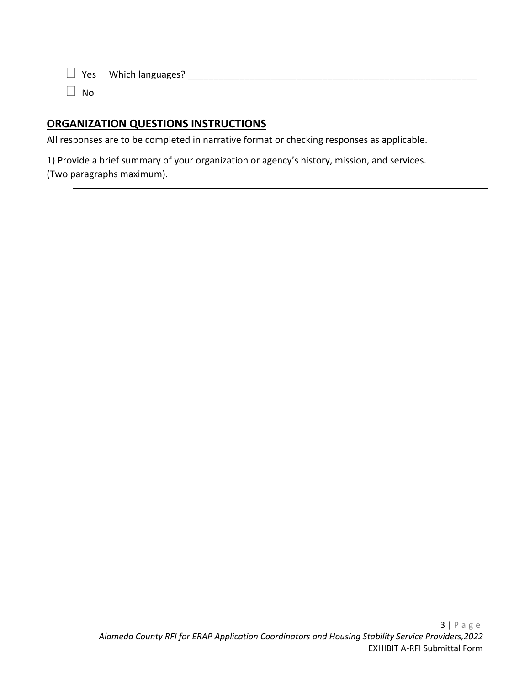Yes Which languages? \_\_\_\_\_\_\_\_\_\_\_\_\_\_\_\_\_\_\_\_\_\_\_\_\_\_\_\_\_\_\_\_\_\_\_\_\_\_\_\_\_\_\_\_\_\_\_\_\_\_\_\_\_\_\_\_

 $\Box$  No

## **ORGANIZATION QUESTIONS INSTRUCTIONS**

All responses are to be completed in narrative format or checking responses as applicable.

1) Provide a brief summary of your organization or agency's history, mission, and services. (Two paragraphs maximum).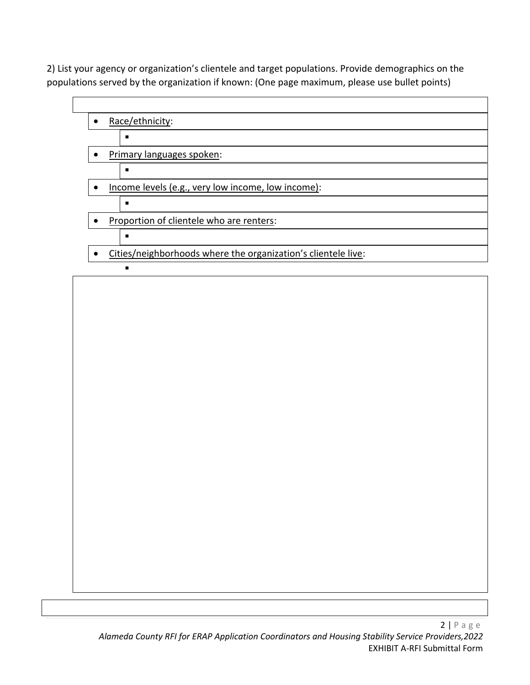2) List your agency or organization's clientele and target populations. Provide demographics on the populations served by the organization if known: (One page maximum, please use bullet points)

| Race/ethnicity:<br>$\bullet$                                    |  |  |  |
|-----------------------------------------------------------------|--|--|--|
|                                                                 |  |  |  |
| Primary languages spoken:<br>$\bullet$                          |  |  |  |
|                                                                 |  |  |  |
| Income levels (e.g., very low income, low income):<br>$\bullet$ |  |  |  |
|                                                                 |  |  |  |
| Proportion of clientele who are renters:<br>$\bullet$           |  |  |  |
|                                                                 |  |  |  |
| Cities/neighborhoods where the organization's clientele live:   |  |  |  |
|                                                                 |  |  |  |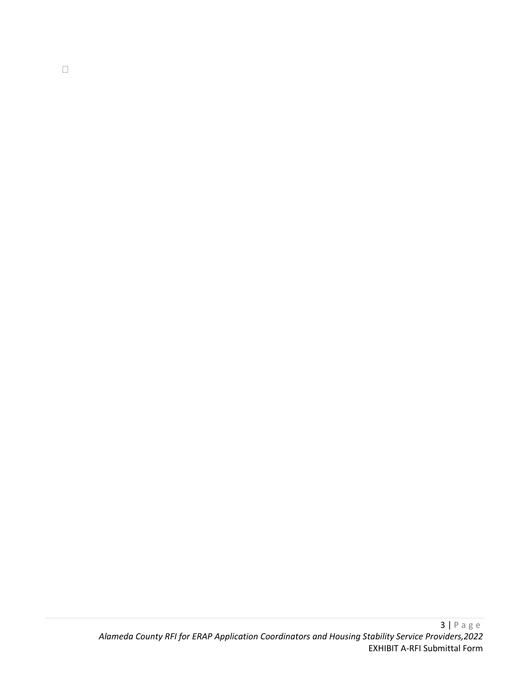$\Box$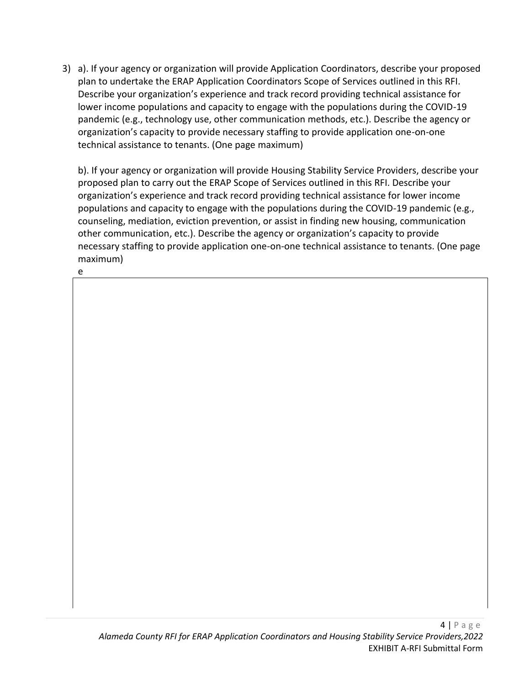3) a). If your agency or organization will provide Application Coordinators, describe your proposed plan to undertake the ERAP Application Coordinators Scope of Services outlined in this RFI. Describe your organization's experience and track record providing technical assistance for lower income populations and capacity to engage with the populations during the COVID-19 pandemic (e.g., technology use, other communication methods, etc.). Describe the agency or organization's capacity to provide necessary staffing to provide application one-on-one technical assistance to tenants. (One page maximum)

b). If your agency or organization will provide Housing Stability Service Providers, describe your proposed plan to carry out the ERAP Scope of Services outlined in this RFI. Describe your organization's experience and track record providing technical assistance for lower income populations and capacity to engage with the populations during the COVID-19 pandemic (e.g., counseling, mediation, eviction prevention, or assist in finding new housing, communication other communication, etc.). Describe the agency or organization's capacity to provide necessary staffing to provide application one-on-one technical assistance to tenants. (One page maximum)

e